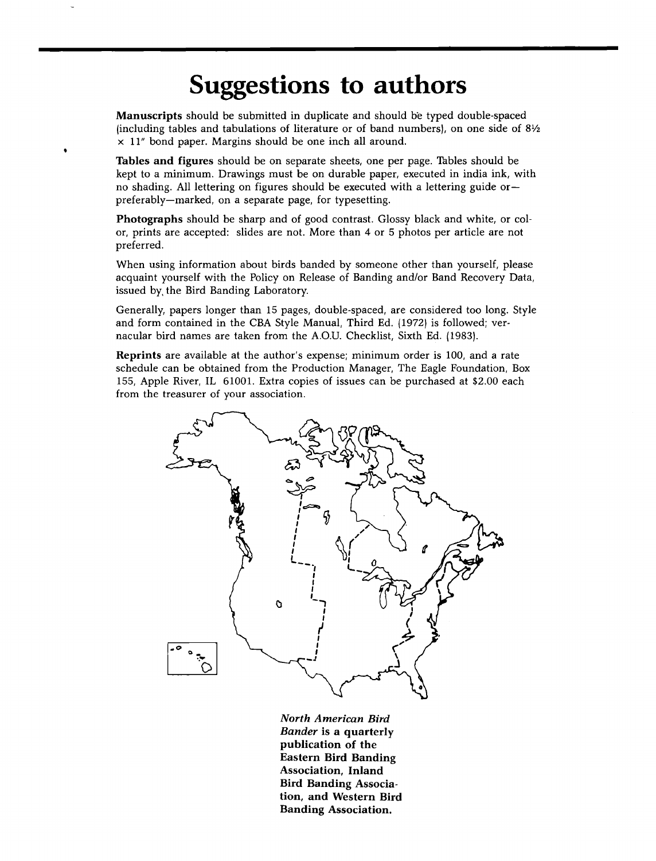## **Suggestions to authors**

**Manuscripts** should be submitted in duplicate and should be typed double-spaced **{including tables and tabulations of literature or of band numbersl, on one side of 81/2 x 11" bond paper. Margins should be one inch all around.** 

**Tables and figures should be on separate sheets, one per page. Tables should be kept to a minimum. Drawings must be on durable paper, executed in india ink, with no shading. All lettering on figures should be executed with a lettering guide or- preferably--marked, on a separate page, for typesetting.** 

**Photographs should be sharp and of good contrast. Glossy black and white, or color, prints are accepted: slides are not. More than 4 or 5 photos per article are not preferred.** 

**When using information about birds banded by someone other than yourself, please acquaint yourself with the Policy on Release of Banding and/or Band Recovery Data, issued by, the Bird Banding Laboratory.** 

**Generally, papers longer than 15 pages, double-spaced, are considered too long. Style**  and form contained in the CBA Style Manual, Third Ed. (1972) is followed; ver**nacular bird names are taken from the A.O.U. Checklist, Sixth Ed. {1983 I.** 

**Reprints are available at the author's expense; minimum order is 100, and a rate schedule can be obtained from the Production Manager, The Eagle Foundation, Box 155, Apple River, IL 61001. Extra copies of issues can be purchased at \$2.00 each from the treasurer of your association.** 



**North American Bird Bander is a quarterly publication of the Eastern Bird Banding Association, Inland Bird Banding Association, and Western Bird Banding Association.**